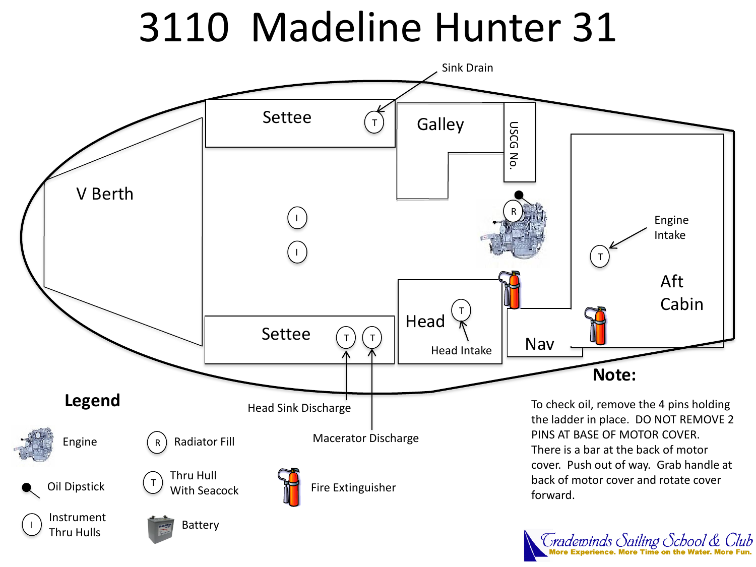# 3110 Madeline Hunter 31



Tradewinds Sailing School & Club<br>More Experience. More Time on the Water. More Fun.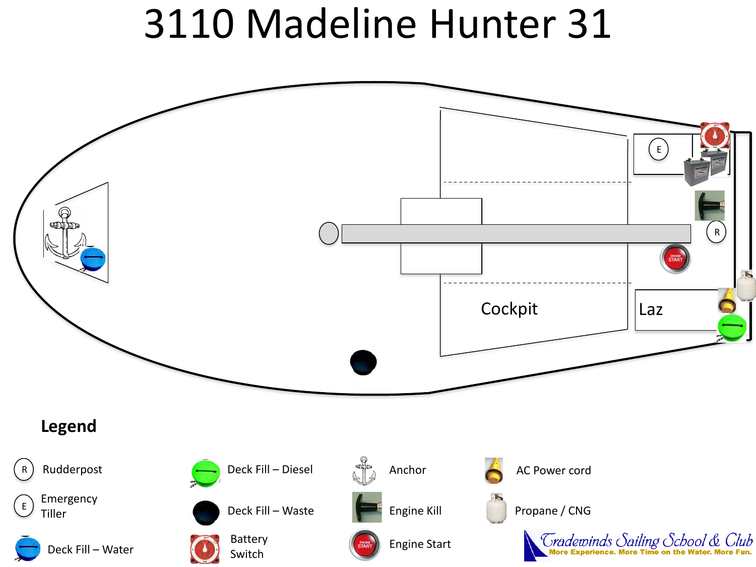## 3110 Madeline Hunter 31

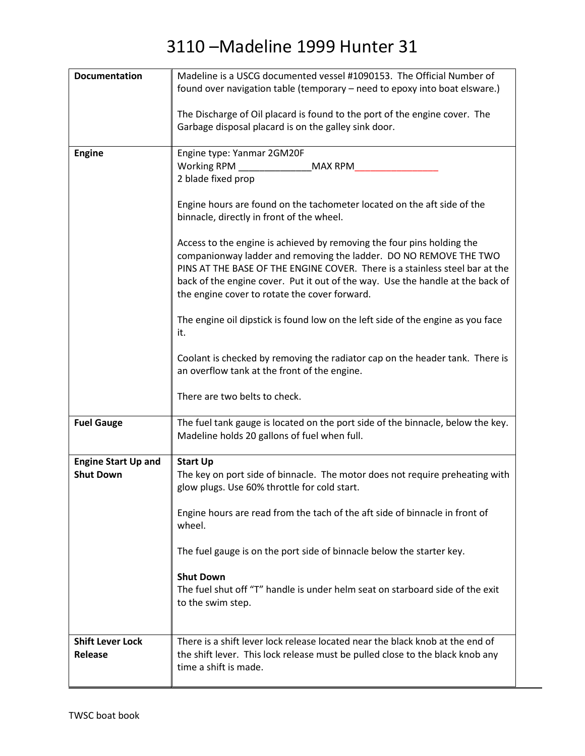| <b>Documentation</b>       | Madeline is a USCG documented vessel #1090153. The Official Number of           |
|----------------------------|---------------------------------------------------------------------------------|
|                            | found over navigation table (temporary - need to epoxy into boat elsware.)      |
|                            |                                                                                 |
|                            | The Discharge of Oil placard is found to the port of the engine cover. The      |
|                            | Garbage disposal placard is on the galley sink door.                            |
|                            |                                                                                 |
| <b>Engine</b>              | Engine type: Yanmar 2GM20F                                                      |
|                            | Working RPM<br><b>MAX RPM</b>                                                   |
|                            | 2 blade fixed prop                                                              |
|                            |                                                                                 |
|                            | Engine hours are found on the tachometer located on the aft side of the         |
|                            | binnacle, directly in front of the wheel.                                       |
|                            |                                                                                 |
|                            | Access to the engine is achieved by removing the four pins holding the          |
|                            | companionway ladder and removing the ladder. DO NO REMOVE THE TWO               |
|                            | PINS AT THE BASE OF THE ENGINE COVER. There is a stainless steel bar at the     |
|                            | back of the engine cover. Put it out of the way. Use the handle at the back of  |
|                            | the engine cover to rotate the cover forward.                                   |
|                            | The engine oil dipstick is found low on the left side of the engine as you face |
|                            | it.                                                                             |
|                            |                                                                                 |
|                            | Coolant is checked by removing the radiator cap on the header tank. There is    |
|                            | an overflow tank at the front of the engine.                                    |
|                            |                                                                                 |
|                            | There are two belts to check.                                                   |
|                            |                                                                                 |
| <b>Fuel Gauge</b>          | The fuel tank gauge is located on the port side of the binnacle, below the key. |
|                            | Madeline holds 20 gallons of fuel when full.                                    |
|                            |                                                                                 |
| <b>Engine Start Up and</b> | <b>Start Up</b>                                                                 |
| <b>Shut Down</b>           | The key on port side of binnacle. The motor does not require preheating with    |
|                            | glow plugs. Use 60% throttle for cold start.                                    |
|                            |                                                                                 |
|                            | Engine hours are read from the tach of the aft side of binnacle in front of     |
|                            | wheel.                                                                          |
|                            |                                                                                 |
|                            | The fuel gauge is on the port side of binnacle below the starter key.           |
|                            | <b>Shut Down</b>                                                                |
|                            | The fuel shut off "T" handle is under helm seat on starboard side of the exit   |
|                            | to the swim step.                                                               |
|                            |                                                                                 |
|                            |                                                                                 |
| <b>Shift Lever Lock</b>    | There is a shift lever lock release located near the black knob at the end of   |
| Release                    | the shift lever. This lock release must be pulled close to the black knob any   |
|                            | time a shift is made.                                                           |
|                            |                                                                                 |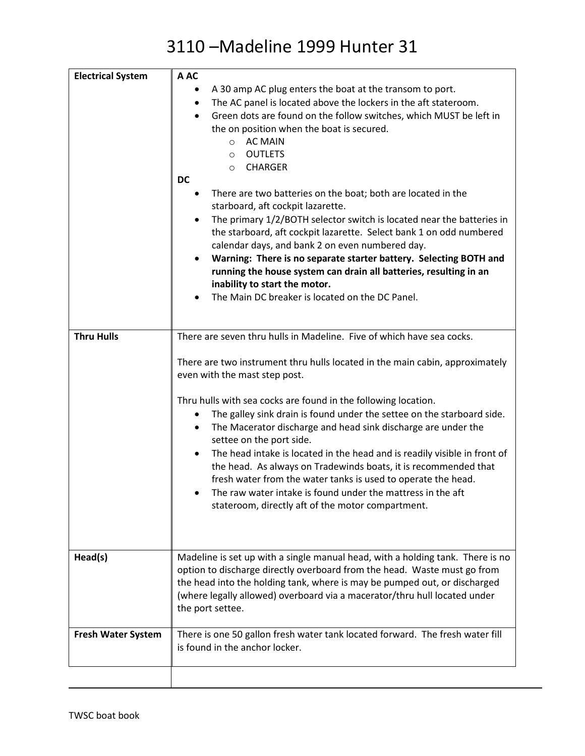| <b>Electrical System</b>  | A AC<br>A 30 amp AC plug enters the boat at the transom to port.<br>The AC panel is located above the lockers in the aft stateroom.<br>٠<br>Green dots are found on the follow switches, which MUST be left in<br>the on position when the boat is secured.<br><b>AC MAIN</b><br>$\circ$<br><b>OUTLETS</b><br>$\circ$<br><b>CHARGER</b><br>$\circ$<br><b>DC</b><br>There are two batteries on the boat; both are located in the<br>٠<br>starboard, aft cockpit lazarette.<br>The primary 1/2/BOTH selector switch is located near the batteries in<br>the starboard, aft cockpit lazarette. Select bank 1 on odd numbered<br>calendar days, and bank 2 on even numbered day.<br>Warning: There is no separate starter battery. Selecting BOTH and<br>running the house system can drain all batteries, resulting in an<br>inability to start the motor.<br>The Main DC breaker is located on the DC Panel. |
|---------------------------|------------------------------------------------------------------------------------------------------------------------------------------------------------------------------------------------------------------------------------------------------------------------------------------------------------------------------------------------------------------------------------------------------------------------------------------------------------------------------------------------------------------------------------------------------------------------------------------------------------------------------------------------------------------------------------------------------------------------------------------------------------------------------------------------------------------------------------------------------------------------------------------------------------|
| <b>Thru Hulls</b>         | There are seven thru hulls in Madeline. Five of which have sea cocks.                                                                                                                                                                                                                                                                                                                                                                                                                                                                                                                                                                                                                                                                                                                                                                                                                                      |
|                           | There are two instrument thru hulls located in the main cabin, approximately<br>even with the mast step post.<br>Thru hulls with sea cocks are found in the following location.<br>The galley sink drain is found under the settee on the starboard side.<br>The Macerator discharge and head sink discharge are under the                                                                                                                                                                                                                                                                                                                                                                                                                                                                                                                                                                                 |
|                           | settee on the port side.<br>The head intake is located in the head and is readily visible in front of<br>the head. As always on Tradewinds boats, it is recommended that<br>fresh water from the water tanks is used to operate the head.<br>The raw water intake is found under the mattress in the aft<br>stateroom, directly aft of the motor compartment.                                                                                                                                                                                                                                                                                                                                                                                                                                                                                                                                              |
| Head(s)                   | Madeline is set up with a single manual head, with a holding tank. There is no<br>option to discharge directly overboard from the head. Waste must go from<br>the head into the holding tank, where is may be pumped out, or discharged<br>(where legally allowed) overboard via a macerator/thru hull located under<br>the port settee.                                                                                                                                                                                                                                                                                                                                                                                                                                                                                                                                                                   |
| <b>Fresh Water System</b> | There is one 50 gallon fresh water tank located forward. The fresh water fill<br>is found in the anchor locker.                                                                                                                                                                                                                                                                                                                                                                                                                                                                                                                                                                                                                                                                                                                                                                                            |
|                           |                                                                                                                                                                                                                                                                                                                                                                                                                                                                                                                                                                                                                                                                                                                                                                                                                                                                                                            |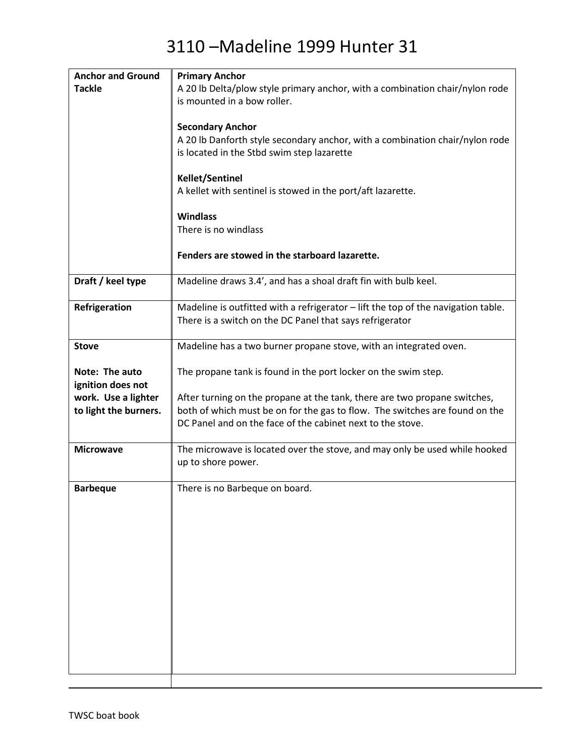| <b>Anchor and Ground</b> | <b>Primary Anchor</b>                                                             |
|--------------------------|-----------------------------------------------------------------------------------|
| <b>Tackle</b>            | A 20 lb Delta/plow style primary anchor, with a combination chair/nylon rode      |
|                          | is mounted in a bow roller.                                                       |
|                          |                                                                                   |
|                          | <b>Secondary Anchor</b>                                                           |
|                          | A 20 lb Danforth style secondary anchor, with a combination chair/nylon rode      |
|                          | is located in the Stbd swim step lazarette                                        |
|                          |                                                                                   |
|                          | <b>Kellet/Sentinel</b>                                                            |
|                          | A kellet with sentinel is stowed in the port/aft lazarette.                       |
|                          |                                                                                   |
|                          | <b>Windlass</b>                                                                   |
|                          | There is no windlass                                                              |
|                          |                                                                                   |
|                          | Fenders are stowed in the starboard lazarette.                                    |
|                          |                                                                                   |
| Draft / keel type        | Madeline draws 3.4', and has a shoal draft fin with bulb keel.                    |
|                          |                                                                                   |
| Refrigeration            | Madeline is outfitted with a refrigerator - lift the top of the navigation table. |
|                          | There is a switch on the DC Panel that says refrigerator                          |
|                          |                                                                                   |
| <b>Stove</b>             | Madeline has a two burner propane stove, with an integrated oven.                 |
|                          |                                                                                   |
| Note: The auto           | The propane tank is found in the port locker on the swim step.                    |
| ignition does not        |                                                                                   |
| work. Use a lighter      | After turning on the propane at the tank, there are two propane switches,         |
| to light the burners.    | both of which must be on for the gas to flow. The switches are found on the       |
|                          | DC Panel and on the face of the cabinet next to the stove.                        |
|                          |                                                                                   |
| <b>Microwave</b>         | The microwave is located over the stove, and may only be used while hooked        |
|                          | up to shore power.                                                                |
|                          |                                                                                   |
| <b>Barbeque</b>          | There is no Barbeque on board.                                                    |
|                          |                                                                                   |
|                          |                                                                                   |
|                          |                                                                                   |
|                          |                                                                                   |
|                          |                                                                                   |
|                          |                                                                                   |
|                          |                                                                                   |
|                          |                                                                                   |
|                          |                                                                                   |
|                          |                                                                                   |
|                          |                                                                                   |
|                          |                                                                                   |
|                          |                                                                                   |
|                          |                                                                                   |